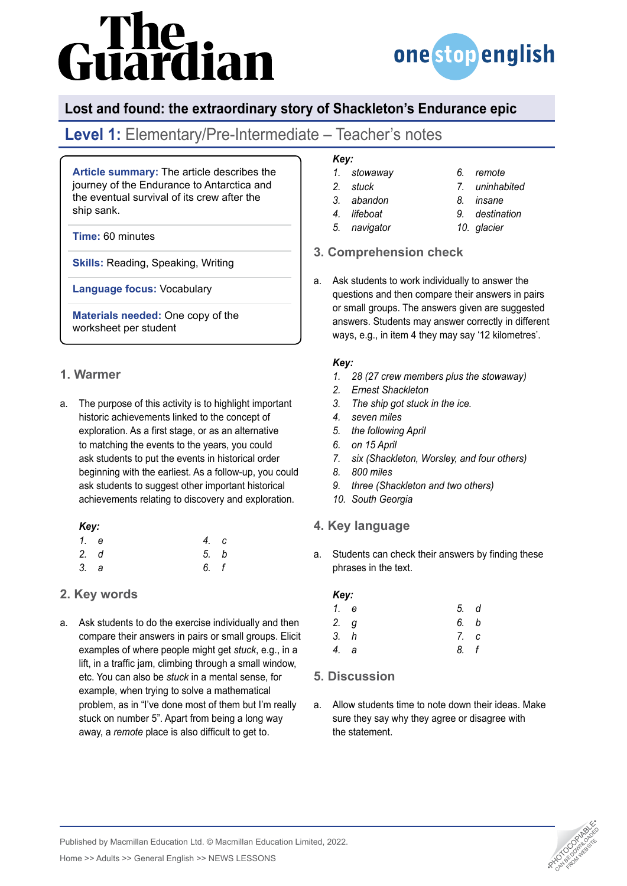# ure<br>lardian



## **Lost and found: the extraordinary story of Shackleton's Endurance epic**

# **Level 1:** Elementary/Pre-Intermediate – Teacher's notes

**Article summary:** The article describes the journey of the Endurance to Antarctica and the eventual survival of its crew after the ship sank.

**Time:** 60 minutes

**Skills:** Reading, Speaking, Writing

**Language focus:** Vocabulary

**Materials needed:** One copy of the worksheet per student

#### **1. Warmer**

a. The purpose of this activity is to highlight important historic achievements linked to the concept of exploration. As a first stage, or as an alternative to matching the events to the years, you could ask students to put the events in historical order beginning with the earliest. As a follow-up, you could ask students to suggest other important historical achievements relating to discovery and exploration.

#### *Key:*

|      | 1. e | 4. c |  |
|------|------|------|--|
| 2. d |      | 5. b |  |
| 3. a |      | 6. f |  |

### **2. Key words**

a. Ask students to do the exercise individually and then compare their answers in pairs or small groups. Elicit examples of where people might get *stuck*, e.g., in a lift, in a traffic jam, climbing through a small window, etc. You can also be *stuck* in a mental sense, for example, when trying to solve a mathematical problem, as in "I've done most of them but I'm really stuck on number 5". Apart from being a long way away, a *remote* place is also difficult to get to.

## *Key:*

- *1. stowaway*
- *2. stuck 3. abandon*
- *4. lifeboat*
- *5. navigator*
- *7. uninhabited 8. insane*

*6. remote*

- *9. destination*
	- *10. glacier*

### **3. Comprehension check**

a. Ask students to work individually to answer the questions and then compare their answers in pairs or small groups. The answers given are suggested answers. Students may answer correctly in different ways, e.g., in item 4 they may say '12 kilometres'.

#### *Key:*

- *1. 28 (27 crew members plus the stowaway)*
- *2. Ernest Shackleton*
- *3. The ship got stuck in the ice.*
- *4. seven miles*
- *5. the following April*
- *6. on 15 April*
- *7. six (Shackleton, Worsley, and four others)*
- *8. 800 miles*
- *9. three (Shackleton and two others)*
- *10. South Georgia*

#### **4. Key language**

a. Students can check their answers by finding these phrases in the text.

#### *Key:*

| 1. e | 5. d |  |
|------|------|--|
| 2. g | 6. b |  |
| 3. h | 7. c |  |
| 4. a | 8. f |  |

### **5. Discussion**

a. Allow students time to note down their ideas. Make sure they say why they agree or disagree with the statement.



Published by Macmillan Education Ltd. © Macmillan Education Limited, 2022.

Home >> Adults >> General English >> NEWS LESSONS